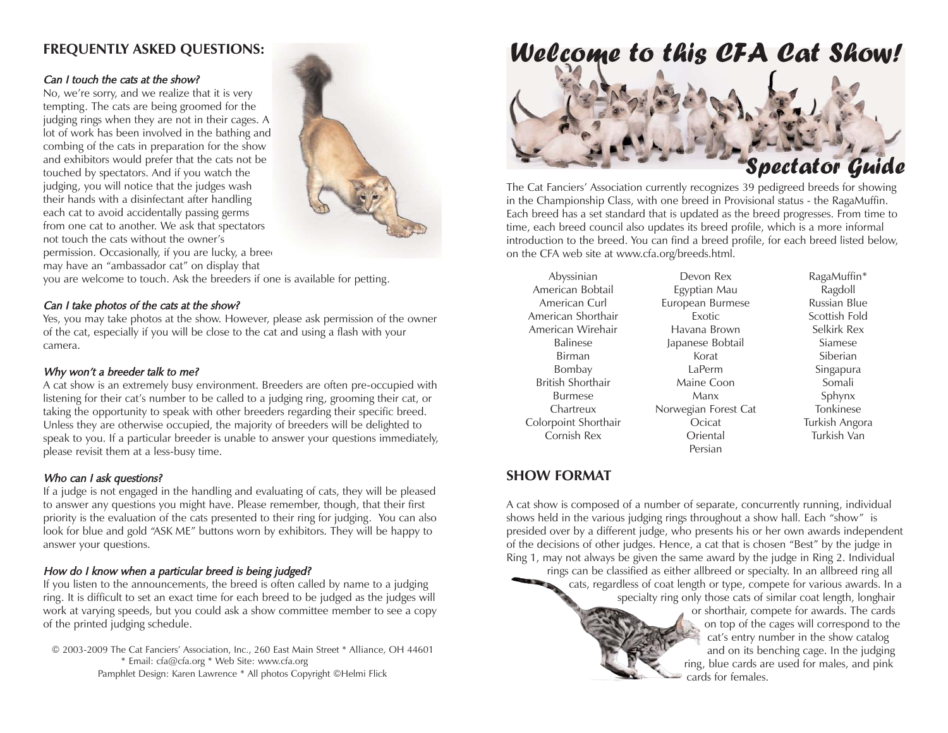# **FREQUENTLY ASKED QUESTIONS:**

#### Can I touch the cats at the show?

No, we're sorry, and we realize that it is very tempting. The cats are being groomed for the judging rings when they are not in their cages. A lot of work has been involved in the bathing and combing of the cats in preparation for the show and exhibitors would prefer that the cats not be touched by spectators. And if you watch the judging, you will notice that the judges wash their hands with a disinfectant after handling each cat to avoid accidentally passing germs from one cat to another. We ask that spectators not touch the cats without the owner'spermission. Occasionally, if you are lucky, a breed may have an "ambassador cat" on display that



you are welcome to touch. Ask the breeders if one is available for petting.

#### Can I take photos of the cats at the show?

Yes, you may take photos at the show. However, please ask permission of the owner of the cat, especially if you will be close to the cat and using a flash with your camera.

#### Why won't a breeder talk to me?

A cat show is an extremely busy environment. Breeders are often pre-occupied with listening for their cat's number to be called to a judging ring, grooming their cat, or taking the opportunity to speak with other breeders regarding their specific breed. Unless they are otherwise occupied, the majority of breeders will be delighted to speak to you. If a particular breeder is unable to answer your questions immediately, please revisit them at a less-busy time.

#### Who can I ask questions?

If a judge is not engaged in the handling and evaluating of cats, they will be pleased to answer any questions you might have. Please remember, though, that their first priority is the evaluation of the cats presented to their ring for judging. You can also look for blue and gold "ASK ME" buttons worn by exhibitors. They will be happy to answer your questions.

### How do I know when a particular breed is being judged?

If you listen to the announcements, the breed is often called by name to a judging ring. It is difficult to set an exact time for each breed to be judged as the judges will work at varying speeds, but you could ask a show committee member to see a copy of the printed judging schedule.

© 2003-2009 The Cat Fanciers' Association, Inc., 260 East Main Street \* Alliance, OH 44601 \* Email: cfa@cfa.org \* Web Site: www.cfa.org Pamphlet Design: Karen Lawrence \* All photos Copyright ©Helmi Flick

# Welcome to this CFA Cat Show!



The Cat Fanciers' Association currently recognizes 39 pedigreed breeds for showing in the Championship Class, with one breed in Provisional status - the RagaMuffin. Each breed has a set standard that is updated as the breed progresses. From time to time, each breed council also updates its breed profile, which is a more informal introduction to the breed. You can find a breed profile, for each breed listed below, on the CFA web site at www.cfa.org/breeds.html.

Abyssinian American BobtailAmerican CurlAmerican ShorthairAmerican WirehairBalineseBirmanBombay British ShorthairBurmeseChartreuxColorpoint Shorthair Cornish Rex

Devon RexEgyptian Mau European Burmese ExoticHavana BrownJapanese Bobtail KoratLaPermMaine CoonManxNorwegian Forest Cat **Ocicat** OrientalPersian

RagaMuffin\* Ragdoll Russian BlueScottish FoldSelkirk RexSiameseSiberianSingapura Somali Sphynx Tonkinese Turkish Angora Turkish Van

## **SHOW FORMAT**

A cat show is composed of a number of separate, concurrently running, individual shows held in the various judging rings throughout a show hall. Each "show" is presided over by a different judge, who presents his or her own awards independent of the decisions of other judges. Hence, a cat that is chosen "Best" by the judge in Ring 1, may not always be given the same award by the judge in Ring 2. Individual

rings can be classified as either allbreed or specialty. In an allbreed ring all cats, regardless of coat length or type, compete for various awards. In a specialty ring only those cats of similar coat length, longhair or shorthair, compete for awards. The cards on top of the cages will correspond to the cat's entry number in the show catalog and on its benching cage. In the judging ring, blue cards are used for males, and pink

cards for females.